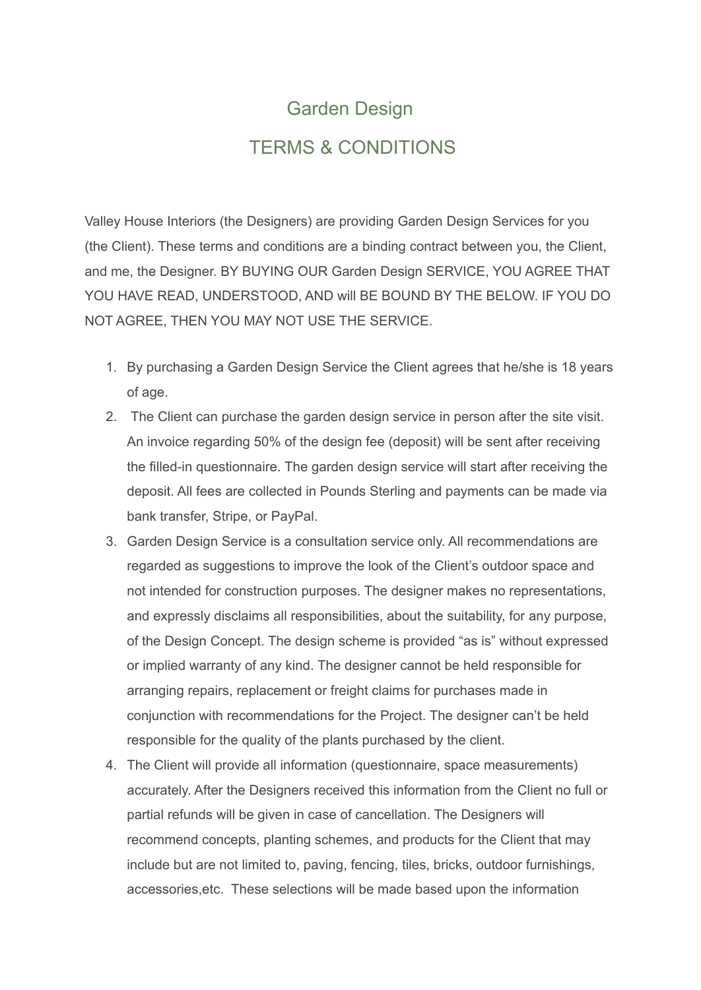## Garden Design TERMS & CONDITIONS

Valley House Interiors (the Designers) are providing Garden Design Services for you (the Client). These terms and conditions are a binding contract between you, the Client, and me, the Designer. BY BUYING OUR Garden Design SERVICE, YOU AGREE THAT YOU HAVE READ, UNDERSTOOD, AND will BE BOUND BY THE BELOW. IF YOU DO NOT AGREE, THEN YOU MAY NOT USE THE SERVICE.

- 1. By purchasing a Garden Design Service the Client agrees that he/she is 18 years of age.
- 2. The Client can purchase the garden design service in person after the site visit. An invoice regarding 50% of the design fee (deposit) will be sent after receiving the filled-in questionnaire. The garden design service will start after receiving the deposit. All fees are collected in Pounds Sterling and payments can be made via bank transfer, Stripe, or PayPal.
- 3. Garden Design Service is a consultation service only. All recommendations are regarded as suggestions to improve the look of the Client's outdoor space and not intended for construction purposes. The designer makes no representations, and expressly disclaims all responsibilities, about the suitability, for any purpose, of the Design Concept. The design scheme is provided "as is" without expressed or implied warranty of any kind. The designer cannot be held responsible for arranging repairs, replacement or freight claims for purchases made in conjunction with recommendations for the Project. The designer can't be held responsible for the quality of the plants purchased by the client.
- 4. The Client will provide all information (questionnaire, space measurements) accurately. After the Designers received this information from the Client no full or partial refunds will be given in case of cancellation. The Designers will recommend concepts, planting schemes, and products for the Client that may include but are not limited to, paving, fencing, tiles, bricks, outdoor furnishings, accessories,etc. These selections will be made based upon the information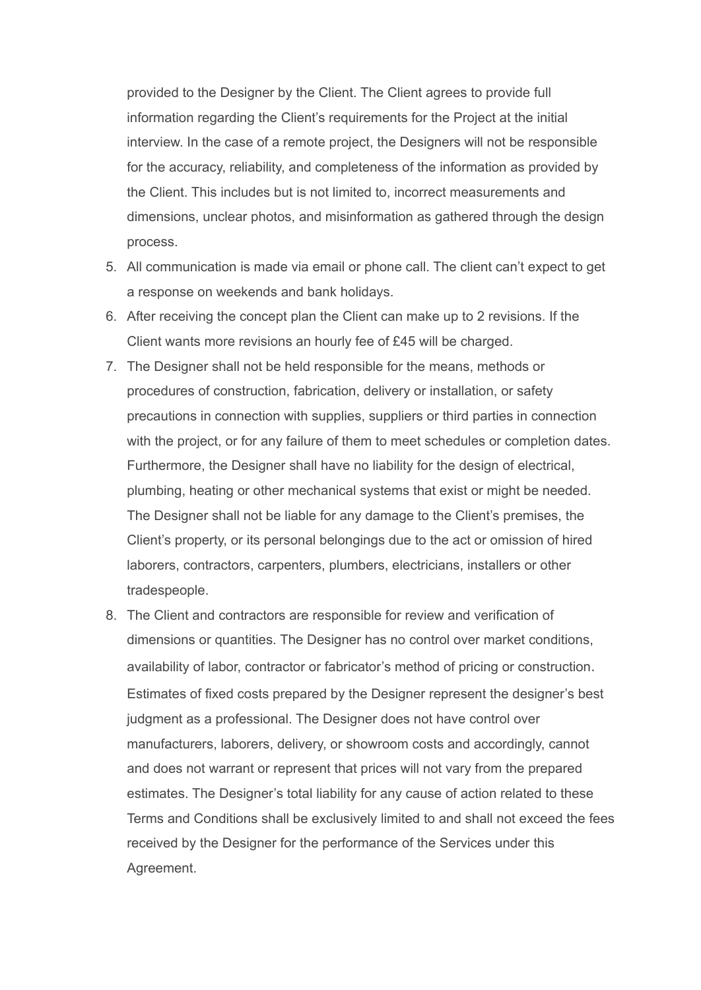provided to the Designer by the Client. The Client agrees to provide full information regarding the Client's requirements for the Project at the initial interview. In the case of a remote project, the Designers will not be responsible for the accuracy, reliability, and completeness of the information as provided by the Client. This includes but is not limited to, incorrect measurements and dimensions, unclear photos, and misinformation as gathered through the design process.

- 5. All communication is made via email or phone call. The client can't expect to get a response on weekends and bank holidays.
- 6. After receiving the concept plan the Client can make up to 2 revisions. If the Client wants more revisions an hourly fee of £45 will be charged.
- 7. The Designer shall not be held responsible for the means, methods or procedures of construction, fabrication, delivery or installation, or safety precautions in connection with supplies, suppliers or third parties in connection with the project, or for any failure of them to meet schedules or completion dates. Furthermore, the Designer shall have no liability for the design of electrical, plumbing, heating or other mechanical systems that exist or might be needed. The Designer shall not be liable for any damage to the Client's premises, the Client's property, or its personal belongings due to the act or omission of hired laborers, contractors, carpenters, plumbers, electricians, installers or other tradespeople.
- 8. The Client and contractors are responsible for review and verification of dimensions or quantities. The Designer has no control over market conditions, availability of labor, contractor or fabricator's method of pricing or construction. Estimates of fixed costs prepared by the Designer represent the designer's best judgment as a professional. The Designer does not have control over manufacturers, laborers, delivery, or showroom costs and accordingly, cannot and does not warrant or represent that prices will not vary from the prepared estimates. The Designer's total liability for any cause of action related to these Terms and Conditions shall be exclusively limited to and shall not exceed the fees received by the Designer for the performance of the Services under this Agreement.